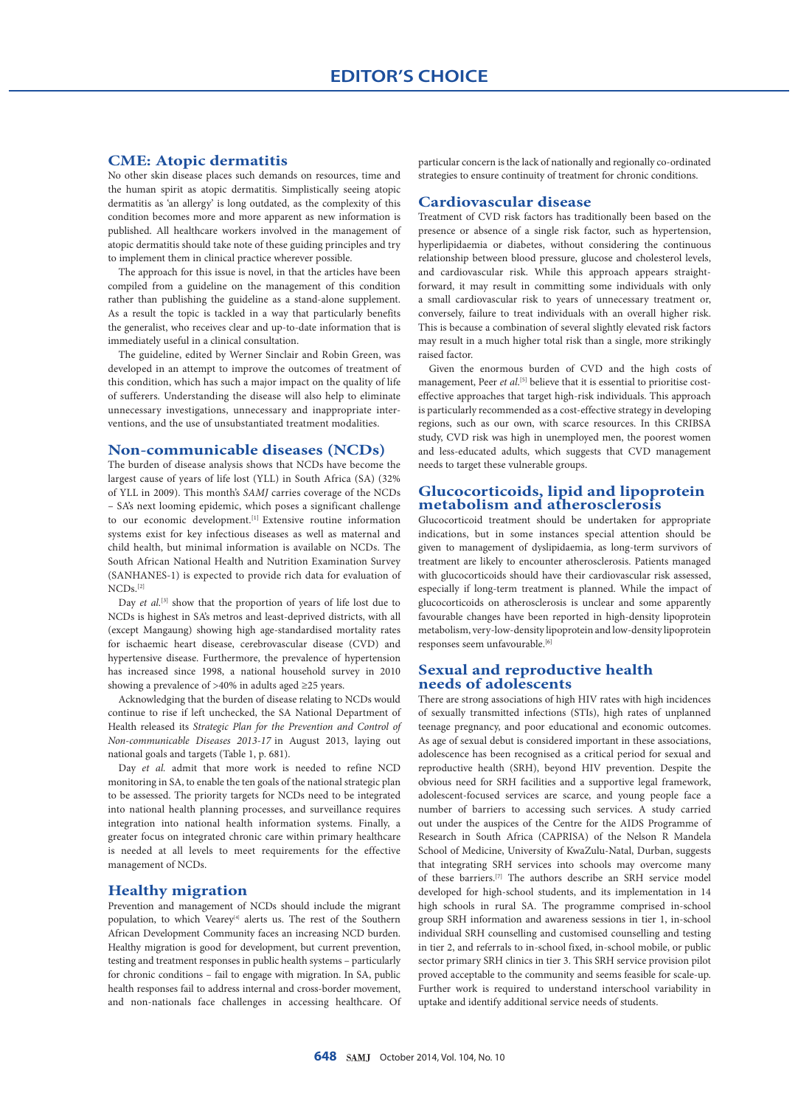# **CME: Atopic dermatitis**

No other skin disease places such demands on resources, time and the human spirit as atopic dermatitis. Simplistically seeing atopic dermatitis as 'an allergy' is long outdated, as the complexity of this condition becomes more and more apparent as new information is published. All healthcare workers involved in the management of atopic dermatitis should take note of these guiding principles and try to implement them in clinical practice wherever possible.

The approach for this issue is novel, in that the articles have been compiled from a guideline on the management of this condition rather than publishing the guideline as a stand-alone supplement. As a result the topic is tackled in a way that particularly benefits the generalist, who receives clear and up-to-date information that is immediately useful in a clinical consultation.

The guideline, edited by Werner Sinclair and Robin Green, was developed in an attempt to improve the outcomes of treatment of this condition, which has such a major impact on the quality of life of sufferers. Understanding the disease will also help to eliminate unnecessary investigations, unnecessary and inappropriate interventions, and the use of unsubstantiated treatment modalities.

#### **Non-communicable diseases (NCDs)**

The burden of disease analysis shows that NCDs have become the largest cause of years of life lost (YLL) in South Africa (SA) (32% of YLL in 2009). This month's *SAMJ* carries coverage of the NCDs – SA's next looming epidemic, which poses a significant challenge to our economic development.<sup>[1]</sup> Extensive routine information systems exist for key infectious diseases as well as maternal and child health, but minimal information is available on NCDs. The South African National Health and Nutrition Examination Survey (SANHANES-1) is expected to provide rich data for evaluation of  $NCDs$ <sup>[2]</sup>

Day *et al.*<sup>[3]</sup> show that the proportion of years of life lost due to NCDs is highest in SA's metros and least-deprived districts, with all (except Mangaung) showing high age-standardised mortality rates for ischaemic heart disease, cerebrovascular disease (CVD) and hypertensive disease. Furthermore, the prevalence of hypertension has increased since 1998, a national household survey in 2010 showing a prevalence of >40% in adults aged ≥25 years.

Acknowledging that the burden of disease relating to NCDs would continue to rise if left unchecked, the SA National Department of Health released its *Strategic Plan for the Prevention and Control of Non-communicable Diseases 2013-17* in August 2013, laying out national goals and targets (Table 1, p. 681).

Day *et al.* admit that more work is needed to refine NCD monitoring in SA, to enable the ten goals of the national strategic plan to be assessed. The priority targets for NCDs need to be integrated into national health planning processes, and surveillance requires integration into national health information systems. Finally, a greater focus on integrated chronic care within primary healthcare is needed at all levels to meet requirements for the effective management of NCDs.

### **Healthy migration**

Prevention and management of NCDs should include the migrant population, to which Vearey<sup>[4]</sup> alerts us. The rest of the Southern African Development Community faces an increasing NCD burden. Healthy migration is good for development, but current prevention, testing and treatment responses in public health systems – particularly for chronic conditions – fail to engage with migration. In SA, public health responses fail to address internal and cross-border movement, and non-nationals face challenges in accessing healthcare. Of particular concern is the lack of nationally and regionally co-ordinated strategies to ensure continuity of treatment for chronic conditions.

#### **Cardiovascular disease**

Treatment of CVD risk factors has traditionally been based on the presence or absence of a single risk factor, such as hypertension, hyperlipidaemia or diabetes, without considering the continuous relationship between blood pressure, glucose and cholesterol levels, and cardiovascular risk. While this approach appears straightforward, it may result in committing some individuals with only a small cardiovascular risk to years of unnecessary treatment or, conversely, failure to treat individuals with an overall higher risk. This is because a combination of several slightly elevated risk factors may result in a much higher total risk than a single, more strikingly raised factor.

Given the enormous burden of CVD and the high costs of management, Peer *et al*.<sup>[5]</sup> believe that it is essential to prioritise costeffective approaches that target high-risk individuals. This approach is particularly recommended as a cost-effective strategy in developing regions, such as our own, with scarce resources. In this CRIBSA study, CVD risk was high in unemployed men, the poorest women and less-educated adults, which suggests that CVD management needs to target these vulnerable groups.

# **Glucocorticoids, lipid and lipoprotein metabolism and atherosclerosis**

Glucocorticoid treatment should be undertaken for appropriate indications, but in some instances special attention should be given to management of dyslipidaemia, as long-term survivors of treatment are likely to encounter atherosclerosis. Patients managed with glucocorticoids should have their cardiovascular risk assessed, especially if long-term treatment is planned. While the impact of glucocorticoids on atherosclerosis is unclear and some apparently favourable changes have been reported in high-density lipoprotein metabolism, very-low-density lipoprotein and low-density lipoprotein responses seem unfavourable.<sup>[6]</sup>

### **Sexual and reproductive health needs of adolescents**

There are strong associations of high HIV rates with high incidences of sexually transmitted infections (STIs), high rates of unplanned teenage pregnancy, and poor educational and economic outcomes. As age of sexual debut is considered important in these associations, adolescence has been recognised as a critical period for sexual and reproductive health (SRH), beyond HIV prevention. Despite the obvious need for SRH facilities and a supportive legal framework, adolescent-focused services are scarce, and young people face a number of barriers to accessing such services. A study carried out under the auspices of the Centre for the AIDS Programme of Research in South Africa (CAPRISA) of the Nelson R Mandela School of Medicine, University of KwaZulu-Natal, Durban, suggests that integrating SRH services into schools may overcome many of these barriers.[7] The authors describe an SRH service model developed for high-school students, and its implementation in 14 high schools in rural SA. The programme comprised in-school group SRH information and awareness sessions in tier 1, in-school individual SRH counselling and customised counselling and testing in tier 2, and referrals to in-school fixed, in-school mobile, or public sector primary SRH clinics in tier 3. This SRH service provision pilot proved acceptable to the community and seems feasible for scale-up. Further work is required to understand interschool variability in uptake and identify additional service needs of students.